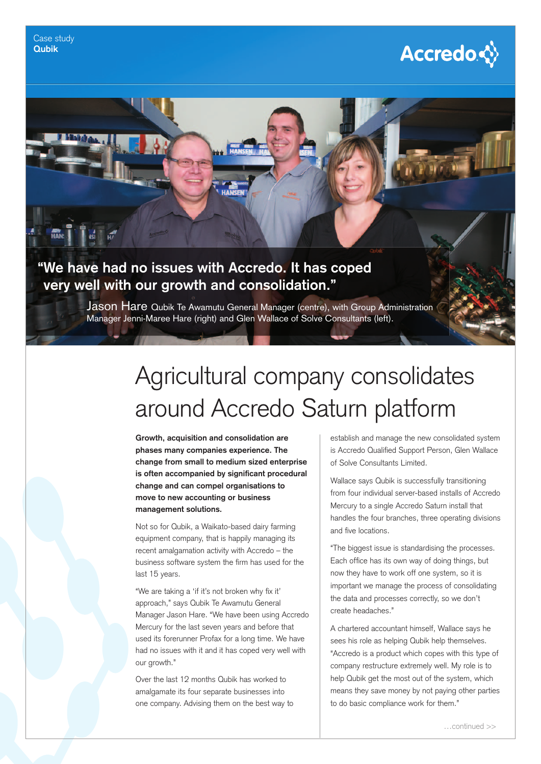



Jason Hare Qubik Te Awamutu General Manager (centre), with Group Administration Manager Jenni-Maree Hare (right) and Glen Wallace of Solve Consultants (left).

## Agricultural company consolidates around Accredo Saturn platform

**Growth, acquisition and consolidation are phases many companies experience. The change from small to medium sized enterprise**  is often accompanied by significant procedural **change and can compel organisations to move to new accounting or business management solutions.**

Not so for Qubik, a Waikato-based dairy farming equipment company, that is happily managing its recent amalgamation activity with Accredo – the business software system the firm has used for the last 15 years.

"We are taking a 'if it's not broken why fix it' approach," says Qubik Te Awamutu General Manager Jason Hare. "We have been using Accredo Mercury for the last seven years and before that used its forerunner Profax for a long time. We have had no issues with it and it has coped very well with our growth."

Over the last 12 months Qubik has worked to amalgamate its four separate businesses into one company. Advising them on the best way to establish and manage the new consolidated system is Accredo Qualified Support Person, Glen Wallace of Solve Consultants Limited.

Wallace says Qubik is successfully transitioning from four individual server-based installs of Accredo Mercury to a single Accredo Saturn install that handles the four branches, three operating divisions and five locations.

"The biggest issue is standardising the processes. Each office has its own way of doing things, but now they have to work off one system, so it is important we manage the process of consolidating the data and processes correctly, so we don't create headaches."

A chartered accountant himself, Wallace says he sees his role as helping Qubik help themselves. "Accredo is a product which copes with this type of company restructure extremely well. My role is to help Qubik get the most out of the system, which means they save money by not paying other parties to do basic compliance work for them."